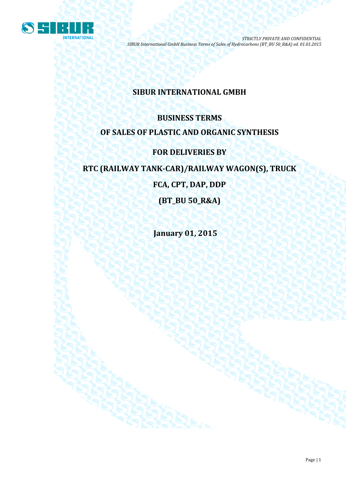

# **SIBUR INTERNATIONAL GMBH**

# **BUSINESS TERMS OF SALES OF PLASTIC AND ORGANIC SYNTHESIS**

# **FOR DELIVERIES BY**

# **RTC (RAILWAY TANK-CAR)/RAILWAY WAGON(S), TRUCK**

**FCA, CPT, DAP, DDP**

**(BT\_BU 50\_R&A)**

**January 01, 2015**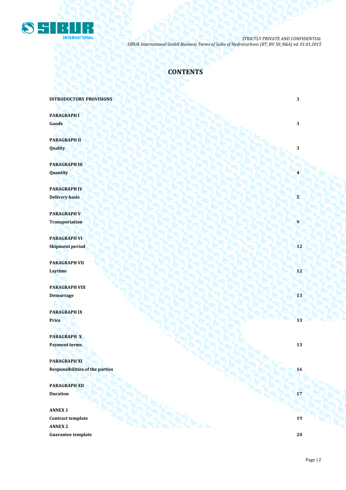

# **CONTENTS**

**INTRODUCTORY PROVISIONS** 3

**PARAGRAPH I Goods 3 3** 

**PARAGRAPH II Quality 3**

**PARAGRAPH III Quantity 4**

**PARAGRAPH IV Delivery basis 5 5** 

**PARAGRAPH V Transportation 1** 

**PARAGRAPH VI Shipment period 12** 

**PARAGRAPH VII Laytime 12**

**PARAGRAPH VIII Demurrage 13 13 14 14 14 14 15 14 15 15 15 15 15 15 15** 

**PARAGRAPH IX Price 13 13** 

**PARAGRAPH X Payment terms 13** 

**PARAGRAPH XI Responsibilities of the parties 16** 

**PARAGRAPH XII Duration 17 17** 

**ANNEX 1 Contract template 19 ANNEX 2 Guarantee template 20**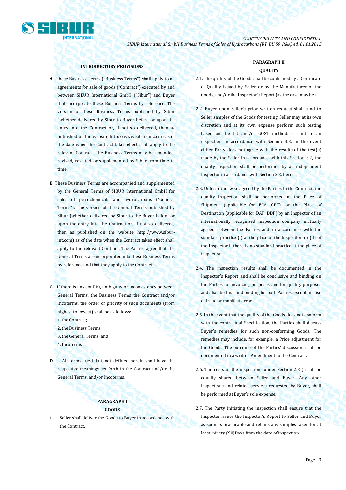

### **INTRODUCTORY PROVISIONS**

- **A.** These Business Terms ("Business Terms") shall apply to all agreements for sale of goods ("Contract") executed by and between SIBUR International GmbH ("Sibur") and Buyer that incorporate these Business Terms by reference. The version of these Business Terms published by Sibur (whether delivered by Sibur to Buyer before or upon the entry into the Contract or, if not so delivered, then as published on the website [http://www.sibur-int.com\)](http://www.sibur-int.com/) as of the date when the Contract takes effect shall apply to the relevant Contract. The Business Terms may be amended, revised, restated or supplemented by Sibur from time to time.
- **B.** These Business Terms are accompanied and supplemented by the General Terms of SIBUR International GmbH for sales of petrochemicals and hydrocarbons ("General Terms"). The version of the General Terms published by Sibur (whether delivered by Sibur to the Buyer before or upon the entry into the Contract or, if not so delivered, then as published on the website [http://www.sibur](http://www.sibur-int.com/)[int.com\)](http://www.sibur-int.com/) as of the date when the Contract takes effect shall apply to the relevant Contract. The Parties agree that the General Terms are incorporated into these Business Terms by reference and that they apply to the Contract.
- **C.** If there is any conflict, ambiguity or inconsistency between General Terms, the Business Terms the Contract and/or Incoterms, the order of priority of such documents (from highest to lowest) shall be as follows:
	- 1.the Contract;
	- 2.the Business Terms;
	- 3.the General Terms; and
	- 4.Incoterms
- **D.** All terms used, but not defined herein shall have the respective meanings set forth in the Contract and/or the General Terms, and/or Incoterms.

## **PARAGRAPH I GOODS**

1.1. Seller shall deliver the Goods to Buyer in accordance with the Contract.

# **PARAGRAPH II QUALITY**

- 2.1. The quality of the Goods shall be confirmed by a Certificate of Quality issued by Seller or by the Manufacturer of the Goods, and/or the Inspector's Report (as the case may be).
- 2.2. Buyer upon Seller's prior written request shall send to Seller samples of the Goods for testing. Seller may at its own discretion and at its own expense perform such testing based on the TU and/or GOST methods or initiate an inspection in accordance with Section 3.3. In the event either Party does not agree with the results of the test(s) made by the Seller in accordance with this Section 3.2, the quality inspection shall be performed by an independent Inspector in accordance with Section 2.3. hereof.
- 2.3. Unless otherwise agreed by the Parties in the Contract, the quality inspection shall be performed at the Place of Shipment (applicable for FCA, CPT), or the Place of Destination (applicable for DAP, DDP) by an Inspector of an internationally recognised inspection company mutually agreed between the Parties and in accordance with the standard practice (i) at the place of the inspection or (ii) of the Inspector if there is no standard practice at the place of inspection.
- 2.4. The inspection results shall be documented in the Inspector's Report and shall be conclusive and binding on the Parties for invoicing purposes and for quality purposes and shall be final and binding for both Parties, except in case of fraud or manifest error.
- 2.5. In the event that the quality of the Goods does not conform with the contractual Specification, the Parties shall discuss Buyer's remedies for such non-conforming Goods. The remedies may include, for example, a Price adjustment for the Goods. The outcome of the Parties' discussion shall be documented in a written Amendment to the Contract.
- 2.6. The costs of the inspection (under Section 2.3 ) shall be equally shared between Seller and Buyer. Any other inspections and related services requested by Buyer, shall be performed at Buyer's sole expense.
- 2.7. The Party initiating the inspection shall ensure that the Inspector issues the Inspector's Report to Seller and Buyer as soon as practicable and retains any samples taken for at least ninety (90)Days from the date of inspection.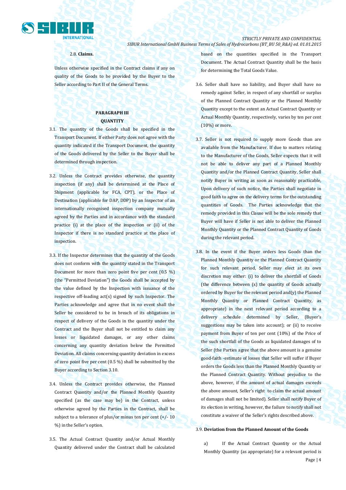

### 2.8. **Claims.**

Unless otherwise specified in the Contract claims if any on quality of the Goods to be provided by the Buyer to the Seller according to Part II of the General Terms.

# **PARAGRAPH III QUANTITY**

- 3.1. The quantity of the Goods shall be specified in the Transport Document. If either Party does not agree with the quantity indicated if the Transport Document, the quantity of the Goods delivered by the Seller to the Buyer shall be determined through inspection.
- 3.2. Unless the Contract provides otherwise, the quantity inspection (if any) shall be determined at the Place of Shipment (applicable for FCA, CPT), or the Place of Destination (applicable for DAP, DDP) by an Inspector of an internationally recognised inspection company mutually agreed by the Parties and in accordance with the standard practice (i) at the place of the inspection or (ii) of the Inspector if there is no standard practice at the place of inspection.
- 3.3. If the Inspector determines that the quantity of the Goods does not conform with the quantity stated in the Transport Document for more than zero point five per cent (0.5 %) (the "Permitted Deviation") the Goods shall be accepted by the value defined by the Inspection with issuance of the respective off-loading act(s) signed by such Inspector. The Parties acknowledge and agree that in no event shall the Seller be considered to be in breach of its obligations in respect of delivery of the Goods in the quantity under the Contract and the Buyer shall not be entitled to claim any losses or liquidated damages, or any other claims concerning any quantity deviation below the Permitted Deviation. All claims concerning quantity deviation in excess of zero point five per cent (0.5 %) shall be submitted by the Buyer according to Section 3.10.
- 3.4. Unless the Contract provides otherwise, the Planned Contract Quantity and/or the Planned Monthly Quantity specified (as the case may be) in the Contract, unless otherwise agreed by the Parties in the Contract, shall be subject to a tolerance of plus/or minus ten per cent  $(+/- 10$ %) in the Seller's option.
- 3.5. The Actual Contract Quantity and/or Actual Monthly Quantity delivered under the Contract shall be calculated

based on the quantities specified in the Transport Document. The Actual Contract Quantity shall be the basis for determining the Total Goods Value.

- 3.6. Seller shall have no liability, and Buyer shall have no remedy against Seller, in respect of any shortfall or surplus of the Planned Contract Quantity or the Planned Monthly Quantity except to the extent an Actual Contract Quantity or Actual Monthly Quantity, respectively, varies by ten per cent (10%) or more.
- 3.7. Seller is not required to supply more Goods than are available from the Manufacturer. If due to matters relating to the Manufacturer of the Goods, Seller expects that it will not be able to deliver any part of a Planned Monthly Quantity and/or the Planned Contract Quantity, Seller shall notify Buyer in writing as soon as reasonably practicable, Upon delivery of such notice, the Parties shall negotiate in good faith to agree on the delivery terms for the outstanding quantities of Goods. The Parties acknowledge that the remedy provided in this Clause will be the sole remedy that Buyer will have if Seller is not able to deliver the Planned Monthly Quantity or the Planned Contract Quantity of Goods during the relevant period.
- 3.8. In the event if the Buyer orders less Goods than the Planned Monthly Quantity or the Planned Contract Quantity for such relevant period, Seller may elect at its own discretion may either: (i) to deliver the shortfall of Goods (the difference between (x) the quantity of Goods actually ordered by Buyer for the relevant period and(y) the Planned Monthly Quantity or Planned Contract Quantity, as appropriate) in the next relevant period according to a delivery schedule determined by Seller, (Buyer's suggestions may be taken into account); or (ii) to receive payment from Buyer of ten per cent (10%) of the Price of the such shortfall of the Goods as liquidated damages of to Seller (the Parties agree that the above amount is a genuine good-faith -estimate of losses that Seller will suffer if Buyer orders the Goods less than the Planned Monthly Quantity or the Planned Contract Quantity. Without prejudice to the above, however, if the amount of actual damages exceeds the above amount, Seller's right to claim the actual amount of damages shall not be limited). Seller shall notify Buyer of its election in writing, however, the failure to notify shall not constitute a waiver of the Seller's rights described above.

### 3.9. **Deviation from the Planned Amount of the Goods**

Page | 4 a) If the Actual Contract Quantity or the Actual Monthly Quantity (as appropriate) for a relevant period is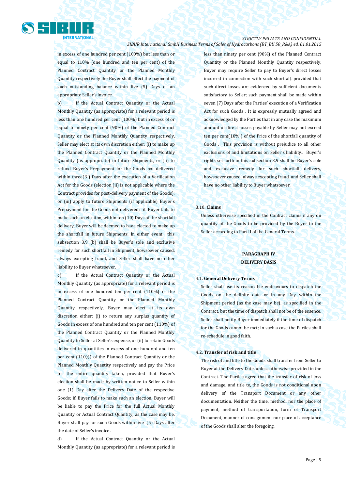

in excess of one hundred per cent (100%) but less than or equal to 110% (one hundred and ten per cent) of the Planned Contract Quantity or the Planned Monthly Quantity respectively the Buyer shall effect the payment of such outstanding balance within five (5) Days of an appropriate Seller's invoice.

**NTERNATIONAL** 

b) If the Actual Contract Quantity or the Actual Monthly Quantity (as appropriate) for a relevant period is less than one hundred per cent (100%) but in excess of or equal to ninety per cent (90%) of the Planned Contract Quantity or the Planned Monthly Quantity respectively, Seller may elect at its own discretion either: (i) to make up the Planned Contract Quantity or the Planned Monthly Quantity (as appropriate) in future Shipments, or (ii) to refund Buyer's Prepayment for the Goods not delivered within three(3 ) Days after the execution of a Verification Act for the Goods (election (ii) is not applicable where the Contract provides for post-delivery payment of the Goods); or (iii) apply to future Shipments (if applicable) Buyer's Prepayment for the Goods not delivered; if. Buyer fails to make such an election, within ten (10) Days of the shortfall delivery, Buyer will be deemed to have elected to make up the shortfall in future Shipments. In either event this subsection 3.9 (b) shall be Buyer's sole and exclusive remedy for such shortfall in Shipment, howsoever caused, always excepting fraud, and Seller shall have no other liability to Buyer whatsoever.

c) If the Actual Contract Quantity or the Actual Monthly Quantity (as appropriate) for a relevant period is in excess of one hundred ten per cent (110%) of the Planned Contract Quantity or the Planned Monthly Quantity respectively, Buyer may elect at its own discretion either: (i) to return any surplus quantity of Goods in excess of one hundred and ten per cent (110%) of the Planned Contract Quantity or the Planned Monthly Quantity to Seller at Seller's expense, or (ii) to retain Goods delivered in quantities in excess of one hundred and ten per cent (110%) of the Planned Contract Quantity or the Planned Monthly Quantity respectively and pay the Price for the entire quantity taken, provided that Buyer's election shall be made by written notice to Seller within one (1) Day after the Delivery Date of the respective Goods; if. Buyer fails to make such an election, Buyer will be liable to pay the Price for the full Actual Monthly Quantity or Actual Contract Quantity, as the case may be. Buyer shall pay for such Goods within five (5) Days after the date of Seller's invoice .

d) If the Actual Contract Quantity or the Actual Monthly Quantity (as appropriate) for a relevant period is less than ninety per cent (90%) of the Planned Contract Quantity or the Planned Monthly Quantity respectively, Buyer may require Seller to pay to Buyer's direct losses incurred in connection with such shortfall, provided that such direct losses are evidenced by sufficient documents satisfactory to Seller; such payment shall be made within seven (7) Days after the Parties' execution of a Verification Act for such Goods . It is expressly mutually agreed and acknowledged by the Parties that in any case the maximum amount of direct losses payable by Seller may not exceed ten per cent(10% ) of the Price of the shortfall quantity of Goods . This provision is without prejudice to all other exclusions of and limitations on Seller's liability.. Buyer's rights set forth in this subsection 3.9 shall be Buyer's sole and exclusive remedy for such shortfall delivery, howsoever caused, always excepting fraud, and Seller shall have no other liability to Buyer whatsoever.

### 3.10. **Claims**

Unless otherwise specified in the Contract claims if any on quantity of the Goods to be provided by the Buyer to the Seller according to Part II of the General Terms.

# **PARAGRAPH IV DELIVERY BASIS**

#### 4.1. **General Delivery Terms**

Seller shall use its reasonable endeavours to dispatch the Goods on the definite date or in any Day within the Shipment period (as the case may be), as specified in the Contract, but the time of dispatch shall not be of the essence. Seller shall notify Buyer immediately if the time of dispatch for the Goods cannot be met; in such a case the Parties shall re-schedule in good faith.

#### 4.2. **Transfer of risk and title**

The risk of and title to the Goods shall transfer from Seller to Buyer at the Delivery Date, unless otherwise provided in the Contract. The Parties agree that the transfer of risk of loss and damage, and title to, the Goods is not conditional upon delivery of the Transport Document or any other documentation. Neither the time, method, nor the place of payment, method of transportation, form of Transport Document, manner of consignment nor place of acceptance of the Goods shall alter the foregoing.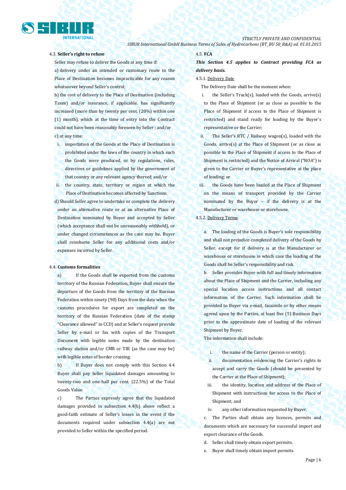

# 4.3. **Seller's right to refuse**

Seller may refuse to deliver the Goods at any time if: a) delivery under an intended or customary route to the Place of Destination becomes impracticable for any reason whatsoever beyond Seller's control;

b) the cost of delivery to the Place of Destination (including Taxes) and/or insurance, if applicable, has significantly increased (more than by twenty per cent. (20%) within one (1) month), which at the time of entry into the Contract could not have been reasonably foreseen by Seller ; and/or c) at any time:

i. importation of the Goods at the Place of Destination is prohibited under the laws of the country in which such the Goods were produced, or by regulations, rules, directives or guidelines applied by the government of that country or any relevant agency thereof; and/or

ii. the country, state, territory or region at which the Place of Destination becomes affected by Sanctions.

d) Should Seller agree to undertake or complete the delivery under an alternative route or at an alternative Place of Destination nominated by Buyer and accepted by Seller (which acceptance shall not be unreasonably withheld), or under changed circumstances as the case may be, Buyer shall reimburse Seller for any additional costs and/or expenses incurred by Seller.

## 4.4. **Customs formalities**

a) If the Goods shall be exported from the customs territory of the Russian Federation, Buyer shall ensure the departure of the Goods from the territory of the Russian Federation within ninety (90) Days from the date when the customs procedures for export are completed on the territory of the Russian Federation (date of the stamp "Clearance allowed" in CCD) and at Seller's request provide Seller by e-mail or fax with copies of the Transport Document with legible notes made by the destination railway station and/or CMR or TIR (as the case may be) with legible notes of border crossing.

b) If Buyer does not comply with this Section 4.4 Buyer shall pay Seller liquidated damages amounting to twenty-two and one-half per cent. (22.5%) of the Total Goods Value.

c) The Parties expressly agree that the liquidated damages provided in subsection 4.4(b) above reflect a good-faith estimate of Seller's losses in the event if the documents required under subsection 4.4(a) are not provided to Seller within the specified period.

# 4.5. **FCA**

*This Section 4.5 applies to Contract providing FCA as delivery basis.*

#### 4.5.1. Delivery Date

The Delivery Date shall be the moment when:

- i. the Seller's Truck(s), loaded with the Goods, arrive(s) to the Place of Shipment (or as close as possible to the Place of Shipment if access to the Place of Shipment is restricted) and stand ready for loading by the Buyer's representative or the Carrier;
- ii. The Seller's RTC / Railway wagon(s), loaded with the Goods, arrive(s) at the Place of Shipment (or as close as possible to the Place of Shipment if access to the Place of Shipment is restricted) and the Notice of Arrival ("NOA") is given to the Carrier or Buyer's representative at the place of loading; or
- iii. the Goods have been loaded at the Place of Shipment on the means of transport provided by the Carrier nominated by the Buyer – if the delivery is at the Manufacturer or warehouse or storehouse.

4.5.2. Delivery Terms

a. The loading of the Goods is Buyer's sole responsibility and shall not prejudice completed delivery of the Goods by Seller, except for if delivery is at the Manufacturer or warehouse or storehouse in which case the loading of the Goods shall be Seller's responsibility and risk.

b. Seller provides Buyer with full and timely information about the Place of Shipment and the Carrier, including any special location access instructions and all contact information of the Carrier. Such information shall be provided to Buyer via e-mail, facsimile or by other means agreed upon by the Parties, at least five (5) Business Days prior to the approximate date of loading of the relevant Shipment by Buyer.

The information shall include:

- i. the name of the Carrier (person or entity);
- ii. documentation evidencing the Carrier's rights to accept and carry the Goods (should be presented by the Carrier at the Place of Shipment);
- iii. the identity, location and address of the Place of Shipment with instructions for access to the Place of Shipment; and
- iv. any other information requested by Buyer.

c. The Parties shall obtain any licences, permits and documents which are necessary for successful import and export clearance of the Goods.

- d. Seller shall timely obtain export permits.
- e. Buyer shall timely obtain import permits.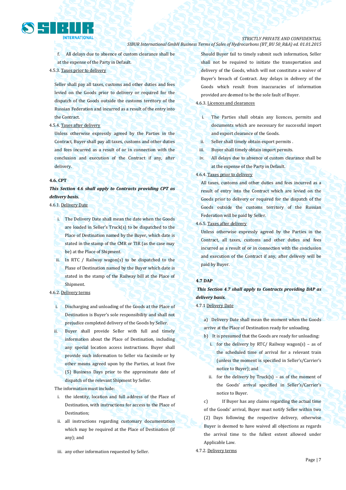

# *STRICTLY PRIVATE AND CONFIDENTIAL*

### *SIBUR International GmbH Business Terms of Sales of Hydrocarbons (BT\_BU 50\_R&A) ed. 01.01.2015*

f. All delays due to absence of custom clearance shall be at the expense of the Party in Default.

### 4.5.3. Taxes prior to delivery

Seller shall pay all taxes, customs and other duties and fees levied on the Goods prior to delivery or required for the dispatch of the Goods outside the customs territory of the Russian Federation and incurred as a result of the entry into the Contract.

### 4.5.4. Taxes after delivery

Unless otherwise expressly agreed by the Parties in the Contract, Buyer shall pay all taxes, customs and other duties and fees incurred as a result of or in connection with the conclusion and execution of the Contract if any, after delivery.

#### **4.6. CPT**

*This Section 4.6 shall apply to Contracts providing CPT as delivery basis.*

### 4.6.1. Delivery Date

- i. The Delivery Date shall mean the date when the Goods are loaded in Seller's Truck(s) to be dispatched to the Place of Destination named by the Buyer, which date is stated in the stamp of the CMR or TIR (as the case may be) at the Place of Shipment.
- ii. In RTC / Railway wagon(s) to be dispatched to the Plaxe of Destination named by the Buyer which date is stated in the stamp of the Railway bill at the Place of Shipment.

# 4.6.2. Delivery terms

- i. Discharging and unloading of the Goods at the Place of Destination is Buyer's sole responsibility and shall not prejudice completed delivery of the Goods by Seller.
- ii. Buyer shall provide Seller with full and timely information about the Place of Destination, including any special location access instructions. Buyer shall provide such information to Seller via facsimile or by other means agreed upon by the Parties, at least five (5) Business Days prior to the approximate date of dispatch of the relevant Shipment by Seller.

The information must include:

- i. the identity, location and full address of the Place of Destination, with instructions for access to the Place of Destination;
- ii. all instructions regarding customary documentation which may be required at the Place of Destination (if any); and
- iii. any other information requested by Seller.

Should Buyer fail to timely submit such information, Seller shall not be required to initiate the transportation and delivery of the Goods, which will not constitute a waiver of Buyer's breach of Contract. Any delays in delivery of the Goods which result from inaccuracies of information provided are deemed to be the sole fault of Buyer.

### 4.6.3. Licences and clearances

- i. The Parties shall obtain any licences, permits and documents which are necessary for successful import and export clearance of the Goods.
- ii. Seller shall timely obtain export permits .
- iii. Buyer shall timely obtain import permits.
- iv. All delays due to absence of custom clearance shall be at the expense of the Party in Default.

## 4.6.4. Taxes prior to delivery

All taxes, customs and other duties and fees incurred as a result of entry into the Contract which are levied on the Goods prior to delivery or required for the dispatch of the Goods outside the customs territory of the Russian Federation will be paid by Seller.

### 4.6.5. Taxes after delivery

Unless otherwise expressly agreed by the Parties in the Contract, all taxes, customs and other duties and fees incurred as a result of or in connection with the conclusion and execution of the Contract if any, after delivery will be paid by Buyer.

#### **4.7 DAP**

*This Section 4.7 shall apply to Contracts providing DAP as delivery basis.*

4.7.1 Delivery Date

a) Delivery Date shall mean the moment when the Goods arrive at the Place of Destination ready for unloading.

- b) It is presumed that the Goods are ready for unloading: i. for the delivery by RTC/ Railway wagon(s) – as of
	- the scheduled time of arrival for a relevant train (unless the moment is specified in Seller's/Carrier's notice to Buyer); and
	- ii. for the delivery by  $Truck(s) as$  of the moment of the Goods' arrival specified in Seller's/Carrier's notice to Buyer.

c) If Buyer has any claims regarding the actual time of the Goods' arrival, Buyer must notify Seller within two (2) Days following the respective delivery, otherwise Buyer is deemed to have waived all objections as regards the arrival time to the fullest extent allowed under Applicable Law.

4.7.2. Delivery terms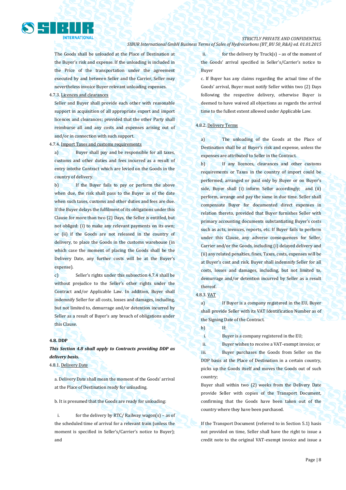

The Goods shall be unloaded at the Place of Destination at the Buyer's risk and expense. If the unloading is included in the Price of the transportation under the agreement executed by and between Seller and the Carrier, Seller may nevertheless invoice Buyer relevant unloading expenses.

4.7.3. Licences and clearances

Seller and Buyer shall provide each other with reasonable support in acquisition of all appropriate export and import licences and clearances; provided that the other Party shall reimburse all and any costs and expenses arising out of and/or in connection with such support.

4.7.4. Import Taxes and customs requirements

a) Buyer shall pay and be responsible for all taxes, customs and other duties and fees incurred as a result of entry intothe Contract which are levied on the Goods in the country of delivery.

b) If the Buyer fails to pay or perform the above when due, the risk shall pass to the Buyer as of the date when such taxes, customs and other duties and fees are due. If the Buyer delays the fulfilment of its obligations under this Clause for more than two (2) Days, the Seller is entitled, but not obliged: (i) to make any relevant payments on its own; or (ii) if the Goods are not released in the country of delivery, to place the Goods in the customs warehouse (in which case the moment of placing the Goods shall be the Delivery Date, any further costs will be at the Buyer's expense).

c) Seller's rights under this subsection 4.7.4 shall be without prejudice to the Seller's other rights under the Contract and/or Applicable Law. In addition, Buyer shall indemnify Seller for all costs, losses and damages, including, but not limited to, demurrage and/or detention incurred by Seller as a result of Buyer's any breach of obligations under this Clause.

#### **4.8. DDP**

*This Section 4.8 shall apply to Contracts providing DDP as delivery basis.*

4.8.1. Delivery Date

a. Delivery Date shall mean the moment of the Goods' arrival at the Place of Destination ready for unloading.

b. It is presumed that the Goods are ready for unloading:

i. for the delivery by RTC/ Railway wagon(s) – as of the scheduled time of arrival for a relevant train (unless the moment is specified in Seller's/Carrier's notice to Buyer); and

ii. for the delivery by  $Truck(s) - as$  of the moment of the Goods' arrival specified in Seller's/Carrier's notice to Buyer

c. If Buyer has any claims regarding the actual time of the Goods' arrival, Buyer must notify Seller within two (2) Days following the respective delivery, otherwise Buyer is deemed to have waived all objections as regards the arrival time to the fullest extent allowed under Applicable Law.

### 4.8.2. Delivery Terms

a) The unloading of the Goods at the Place of Destination shall be at Buyer's risk and expense, unless the expenses are attributed to Seller in the Contract.

b) If any licences, clearances and other customs requirements or Taxes in the country of import could be performed, arranged or paid only by Buyer or on Buyer's side, Buyer shall (i) inform Seller accordingly; and (ii) perform, arrange and pay the same in due time. Seller shall compensate Buyer for documented direct expenses in relation thereto, provided that Buyer furnishes Seller with primary accounting documents substantiating Buyer's costs such as acts, invoices, reports, etc. If Buyer fails to perform under this Clause, any adverse consequences for Seller, Carrier and/or the Goods, including (i) delayed delivery and (ii) any related penalties, fines, Taxes, costs, expenses will be at Buyer's cost and risk. Buyer shall indemnify Seller for all costs, losses and damages, including, but not limited to, demurrage and/or detention incurred by Seller as a result thereof.

### 4.8.3. VAT

a) If Buyer is a company registered in the EU, Buyer shall provide Seller with its VAT Identification Number as of the Signing Date of the Contract.

b) If:

i. Buyer is a company registered in the EU;

ii. Buyer wishes to receive a VAT-exempt invoice; or iii. Buyer purchases the Goods from Seller on the DDP basis at the Place of Destination in a certain country, picks up the Goods itself and moves the Goods out of such country;

Buyer shall within two (2) weeks from the Delivery Date provide Seller with copies of the Transport Document, confirming that the Goods have been taken out of the country where they have been purchased.

If the Transport Document (referred to in Section 5.1) hasis not provided on time, Seller shall have the right to issue a credit note to the original VAT-exempt invoice and issue a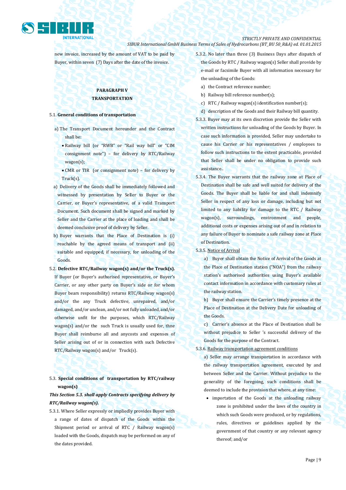

new invoice, increased by the amount of VAT to be paid by Buyer, within seven (7) Days after the date of the invoice.

# **PARAGRAPH V TRANSPORTATION**

### 5.1. **General conditions of transportation**

- a) The Transport Document hereunder and the Contract shall be:
	- Railway bill (or "RWB" or "Rail way bill" or "CIM consignment note") – for delivery by RTC/Railway wagon(s);
	- CMR or TIR (or consignment note) for delivery by Truck(s).
- a) Delivery of the Goods shall be immediately followed and witnessed by presentation by Seller to Buyer or the Carrier, or Buyer's representative, of a valid Transport Document. Such document shall be signed and marked by Seller and the Carrier at the place of loading and shall be deemed conclusive proof of delivery by Seller.
- b) Buyer warrants that the Place of Destination is (i) reachable by the agreed means of transport and (ii) suitable and equipped, if necessary, for unloading of the Goods.
- 5.2. **Defective RTC/Railway wagon(s) and/or the Truck(s).** If Buyer (or Buyer's authorised representative, or Buyer's Carrier, or any other party on Buyer's side or for whom Buyer bears responsibility) returns RTC/Railway wagon(s) and/or the any Truck defective, unrepaired, and/or damaged, and/or unclean, and/or not fully unloaded, and/or otherwise unfit for the purposes, which RTC/Railway wagon(s) and/or the such Truck is usually used for, thne Buyer shall reimburse all and anycosts and expenses of Seller arising out of or in connection with such Defective RTC/Railway wagon(s) and/or Truck(s).

# 5.3. **Special conditions of transportation by RTC/railway wagon(s)**

# *This Section 5.3. shall apply Contracts specifying delivery by RTC/Railway wagon(s).*

5.3.1. Where Seller expressly or impliedly provides Buyer with a range of dates of dispatch of the Goods within the Shipment period or arrival of RTC / Railway wagon(s) loaded with the Goods, dispatch may be performed on any of the dates provided.

5.3.2. No later than three (3) Business Days after dispatch of the Goods by RTC / Railway wagon(s) Seller shall provide by e-mail or facsimile Buyer with all information necessary for the unloading of the Goods:

- a) the Contract reference number;
- b) Railway bill reference number(s);
- c) RTC / Railway wagon(s) identification number(s);
- d) description of the Goods and their Railway bill quantity.
- 5.3.3. Buyer may at its own discretion provide the Seller with written instructions for unloading of the Goods by Buyer. In case such information is provided, Seller may undertake to cause his Carrier or his representatives / employees to follow such instructions to the extent practicable, provided that Seller shall be under no obligation to provide such assistance..
- 5.3.4. The Buyer warrants that the railway zone at Place of Destination shall be safe and well suited for delivery of the Goods. The Buyer shall be liable for and shall indemnify Seller in respect of any loss or damage, including but not limited to any liability for damage to the RTC / Railway wagon(s), surroundings, environment and people, additional costs or expenses arising out of and in relation to any failure of Buyer to nominate a safe railway zone at Place of Destination.

5.3.5. Notice of Arrival

a) Buyer shall obtain the Notice of Arrival of the Goods at the Place of Destination station ("NOA") from the railway station's authorised authorities using Buyer's available contact information in accordance with customary rules at the railway station.

b) Buyer shall ensure the Carrier's timely presence at the Place of Destination at the Delivery Date for unloading of the Goods.

c) Carrier's absence at the Place of Destination shall be without prejudice to Seller 's successful delivery of the Goods for the purpose of the Contract.

### 5.3.6. Railway transportation agreement conditions

a) Seller may arrange transportation in accordance with the railway transportation agreement, executed by and between Seller and the Carrier. Without prejudice to the generality of the foregoing, such conditions shall be deemed to include the provision that where, at any time:

• importation of the Goods at the unloading railway zone is prohibited under the laws of the country in which such Goods were produced, or by regulations, rules, directives or guidelines applied by the government of that country or any relevant agency thereof; and/or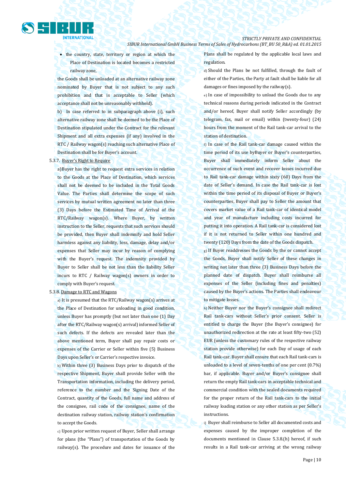• the country, state, territory or region at which the Place of Destination is located becomes a restricted railway zone,

the Goods shall be unloaded at an alternative railway zone nominated by Buyer that is not subject to any such prohibition and that is acceptable to Seller (which acceptance shall not be unreasonably withheld).

b) In case referred to in subparagraph above (i), such alternative railway zone shall be deemed to be the Place of Destination stipulated under the Contract for the relevant Shipment and all extra expenses (if any) involved in the RTC / Railway wagon(s) reaching such alternative Place of Destination shall be for Buyer's account.

#### 5.3.7. Buyer's Right to Require

a)Buyer has the right to request extra services in relation to the Goods at the Place of Destination, which services shall not be deemed to be included in the Total Goods Value. The Parties shall determine the scope of such services by mutual written agreement no later than three (3) Days before the Estimated Time of Arrival of the RTC/Railway wagon(s). Where Buyer, by written instruction to the Seller, requests that such services should be provided, then Buyer shall indemnify and hold Seller harmless against any liability, loss, damage, delay and/or expenses that Seller may incur by reason of complying with the Buyer's request. The indemnity provided by Buyer to Seller shall be not less than the liability Seller incurs to RTC / Railway wagon(s) owners in order to comply with Buyer's request.

#### 5.3.8. Damage to RTC and Wagons

a) It is presumed that the RTC/Railway wagon(s) arrives at the Place of Destination for unloading in good condition, unless Buyer has promptly (but not later than one (1) Day after the RTC/Railway wagon(s) arrival) informed Seller of such defects. If the defects are revealed later than the above mentioned term, Buyer shall pay repair costs or expenses of the Carrier or Seller within five (5) Business Days upon Seller's or Carrier's respective invoice.

b) Within three (3) Business Days prior to dispatch of the respective Shipment, Buyer shall provide Seller with the Transportation information, including the delivery period, reference to the number and the Signing Date of the Contract, quantity of the Goods, full name and address of the consignee, rail code of the consignee, name of the destination railway station, railway station's confirmation to accept the Goods.

c) Upon prior written request of Buyer, Seller shall arrange for plans (the "Plans") of transportation of the Goods by railway(s). The procedure and dates for issuance of the Plans shall be regulated by the applicable local laws and regulation.

d) Should the Plans be not fulfilled, through the fault of either of the Parties, the Party at fault shall be liable for all damages or fines imposed by the railway(s).

e) In case of impossibility to unload the Goods due to any technical reasons during periods indicated in the Contract and/or hereof, Buyer shall notify Seller accordingly (by telegram, fax, mail or email) within (twenty-four) (24) hours from the moment of the Rail tank-car arrival to the station of destination.

f) In case of the Rail tank-car damage caused within the time period of its use byBuyer or Buyer's counterparties, Buyer shall immediately inform Seller about the occurrence of such event and recover losses incurred due to Rail tank-car damage within sixty (60) Days from the date of Seller's demand. In case the Rail tank-car is lost within the time period of its disposal of Buyer or Buyer's counterparties, Buyer shall pay to Seller the amount that covers market value of a Rail tank-car of identical model and year of manufacture including costs incurred for putting it into operation. A Rail tank-car is considered lost if it is not returned to Seller within one hundred and twenty (120) Days from the date of the Goods dispatch.

g) If Buyer readdresses the Goods by the or cannot accept the Goods, Buyer shall notify Seller of these changes in writing not later than three (3) Business Days before the planned date of dispatch. Buyer shall reimburse all expenses of the Seller (including fines and penalties) caused by the Buyer's actions. The Parties shall endeavour to mitigate losses.

h) Neither Buyer nor the Buyer's consignee shall redirect Rail tank-cars without Seller's prior consent. Seller is entitled to charge the Buyer (the Buyer's consignee) for unauthorized redirection at the rate at least fifty-two (52) EUR (unless the customary rules of the respective railway station provide otherwise) for each Day of usage of each Rail tank-car. Buyer shall ensure that each Rail tank-cars is unloaded to a level of seven-tenths of one per cent (0.7%) bar, if applicable. Buyer and/or Buyer's consignee shall return the empty Rail tank-cars in acceptable technical and commercial condition with the sealed documents required for the proper return of the Rail tank-cars to the initial railway loading station or any other station as per Seller's instructions.

i) Buyer shall reimburse to Seller all documented costs and expenses caused by the improper completion of the documents mentioned in Clause 5.3.8.(h) hereof, if such results in a Rail tank-car arriving at the wrong railway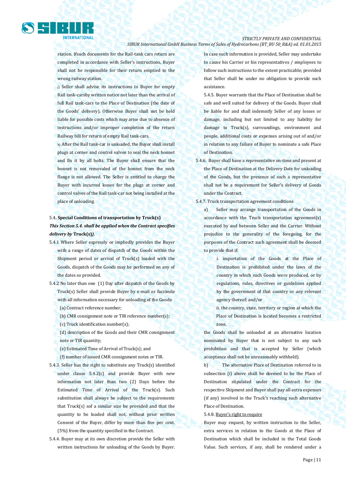

station. Ifsuch documents for the Rail-tank cars return are completed in accordance with Seller's instructions, Buyer shall not be responsible for their return emptied to the wrong railway station.

j) Seller shall advise its instructions to Buyer for empty Rail tank-carsby written notice not later than the arrival of full Rail tank-cars to the Place of Destination (the date of the Goods' delivery). Otherwise Buyer shall not be held liable for possible costs which may arise due to absence of instructions and/or improper completion of the return Railway bill for return of empty Rail tank-cars.

k) After the Rail tank-car is unloaded, the Buyer shall install plugs at corner and control valves to seal the neck bonnet and fix it by all bolts. The Buyer shall ensure that the bonnet is not removaled of the bonnet from the neck flange is not allowed. The Seller is entitled to charge the Buyer with incurred losses for the plugs at corner and control valves of the Rail tank-car not being installed at the place of unloading.

# 5.4**. Special Conditions of transportation by Truck(s)**  *This Section 5.4. shall be applied when the Contract specifies delivery by* **Truck(s)***).*

- 5.4.1 Where Seller expressly or impliedly provides the Buyer with a range of dates of dispatch of the Goods within the Shipment period or arrival of Truck(s) loaded with the Goods, dispatch of the Goods may be performed on any of the dates so provided.
- 5.4.2 No later than one (1) Day after dispatch of the Goods by Truck(s) Seller shall provide Buyer by e-mail or facsimile with all information necessary for unloading of the Goods:
	- (a) Contract reference number;
	- (b) CMR consignment note or TIR reference number(s);
	- (c) Truck identification number(s);
	- (d) description of the Goods and their CMR consignment note or TIR quantity;
	- (e) Estimated Time of Arrival of Truck(s); and

(f) number of issued CMR consignment notes or TIR.

- 5.4.3. Seller has the right to substitute any Truck(s) identified under clause 5.4.2(c) and provide Buyer with new information not later than two (2) Days before the Estimated Time of Arrival of the Truck(s). Such substitution shall always be subject to the requirements that Truck(s) sof a similar size be provided and that the quantity to be loaded shall not, without prior written Consent of the Buyer, differ by more than five per cent. (5%) from the quantity specified in the Contract.
- 5.4.4. Buyer may at its own discretion provide the Seller with written instructions for unloading of the Goods by Buyer.

In case such information is provided, Seller may undertake to cause his Carrier or his representatives / employees to follow such instructions to the extent practicable; provided that Seller shall be under no obligation to provide such assistance.

5.4.5. Buyer warrants that the Place of Destination shall be safe and well suited for delivery of the Goods. Buyer shall be liable for and shall indemnify Seller of any losses or damage, including but not limited to any liability for damage to Truck(s), surroundings, environment and people, additional costs or expenses arising out of and/or in relation to any failure of Buyer to nominate a safe Place of Destination.

- 5.4.6. Buyer shall have a representative on-time and present at the Place of Destination at the Delivery Date for unloading of the Goods, but the presence of such a representative shall not be a requirement for Seller's delivery of Goods under the Contract.
- 5.4.7. Truck transportation agreement conditions

a) Seller may arrange transportation of the Goods in accordance with the Truck transportation agreement(s) executed by and between Seller and the Carrier. Without prejudice to the generality of the foregoing, for the purposes of the Contract such agreement shall be deemed to provide that if:

> i. importation of the Goods at the Place of Destination is prohibited under the laws of the country in which such Goods were produced, or by regulations, rules, directives or guidelines applied by the government of that country or any relevant agency thereof; and/or

ii. the country, state, territory or region at which the Place of Destination is located becomes a restricted zone,

the Goods shall be unloaded at an alternative location nominated by Buyer that is not subject to any such prohibition and that is accepted by Seller (which acceptance shall not be unreasonably withheld).

b) The alternative Place of Destination referred to in subsection (i) above shall be deemed to be the Place of Destination stipulated under the Contract for the respective Shipment and Buyer shall pay all extra expenses (if any) involved in the Truck's reaching such alternative Place of Destination.

5.4.8. Buyer's right to require

Buyer may request, by written instruction to the Seller, extra services in relation to the Goods at the Place of Destination which shall be included in the Total Goods Value. Such services, if any, shall be rendered under a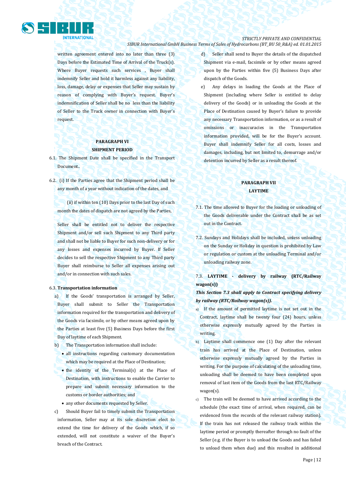

written agreement entered into no later than three (3) Days before the Estimated Time of Arrival of the Truck(s). Where Buyer requests such services, Buyer shall indemnify Seller and hold it harmless against any liability, loss, damage, delay or expenses that Seller may sustain by reason of complying with Buyer's request. Buyer's indemnification of Seller shall be no less than the liability of Seller to the Truck owner in connection with Buyer's request.

## **PARAGRAPH VI SHIPMENT PERIOD**

- 6.1. The Shipment Date shall be specified in the Transport Document..
- 6.2. (i) If the Parties agree that the Shipment period shall be any month of a year without indication of the dates, and

(ii) if within ten (10) Days prior to the last Day of such month the dates of dispatch are not agreed by the Parties,

Seller shall be entitled not to deliver the respective Shipment and/or sell such Shipment to any Third party and shall not be liable to Buyer for such non-delivery or for any losses and expenses incurred by Buyer. If Seller decides to sell the respective Shipment to any Third party Buyer shall reimburse to Seller all expenses arising out and/or in connection with such sales.

#### 6.3. **Transportation information**

- a) If the Goods' transportation is arranged by Seller, Buyer shall submit to Seller the Transportation information required for the transportation and delivery of the Goods via facsimile, or by other means agreed upon by the Parties at least five (5) Business Days before the first Day of laytime of each Shipment.
- b) The Transportation information shall include:
	- all instructions regarding customary documentation which may be required at the Place of Destination;
	- the identity of the Terminal(s) at the Place of Destination, with instructions to enable the Carrier to prepare and submit necessary information to the customs or border authorities; and
	- any other documents requested by Seller.
- c) Should Buyer fail to timely submit the Transportation information, Seller may at its sole discretion elect to extend the time for delivery of the Goods which, if so extended, will not constitute a waiver of the Buyer's breach of the Contract.
- d) Seller shall send to Buyer the details of the dispatched Shipment via e-mail, facsimile or by other means agreed upon by the Parties within five (5) Business Days after dispatch of the Goods.
- e) Any delays in loading the Goods at the Place of Shipment (including where Seller is entitled to delay delivery of the Goods) or in unloading the Goods at the Place of Destination caused by Buyer's failure to provide any necessary Transportation information, or as a result of omissions or inaccuracies in the Transportation information provided, will be for the Buyer's account. Buyer shall indemnify Seller for all costs, losses and damages, including, but not limited to, demurrage and/or detention incurred by Seller as a result thereof.

# **PARAGRAPH VII LAYTIME**

- 7.1. The time allowed to Buyer for the loading or unloading of the Goods deliverable under the Contract shall be as set out in the Contract.
- 7.2. Sundays and Holidays shall be included, unless unloading on the Sunday or Holiday in question is prohibited by Law or regulation or custom at the unloading Terminal and/or unloading railway zone.

7.3. **LAYTIME - delivery by railway (RTC/Railway wagon(s))**

# *This Section 7.3 shall apply to Contract specifying delivery by railway (RTC/Railway wagon(s)).*

- a) If the amount of permitted laytime is not set out in the Contract, laytime shall be twenty four (24) hours, unless otherwise expressly mutually agreed by the Parties in writing.
- b) Laytime shall commence one (1) Day after the relevant train has arrived at the Place of Destination, unless otherwise expressly mutually agreed by the Parties in writing. For the purpose of calculating of the unloading time, unloading shall be deemed to have been completed upon removal of last item of the Goods from the last RTC/Railway wagon(s).
- c) The train will be deemed to have arrived according to the schedule (the exact time of arrival, when required, can be evidenced from the records of the relevant railway station). If the train has not released the railway track within the laytime period or promptly thereafter through no fault of the Seller (e.g. if the Buyer is to unload the Goods and has failed to unload them when due) and this resulted in additional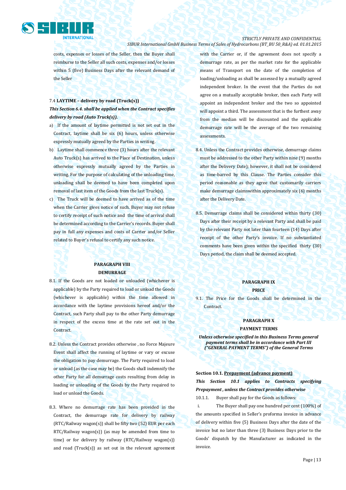

# *STRICTLY PRIVATE AND CONFIDENTIAL*

*SIBUR International GmbH Business Terms of Sales of Hydrocarbons (BT\_BU 50\_R&A) ed. 01.01.2015*

costs, expenses or losses of the Seller, then the Buyer shall reimburse to the Seller all such costs, expenses and/or losses within 5 (five) Business Days after the relevant demand of the Seller

# 7.4 **LAYTIME – delivery by road (Truck(s))** *This Section 6.4. shall be applied when the Contract specifies delivery by road (Auto Truck(s)).*

- a) If the amount of laytime permitted is not set out in the Contract, laytime shall be six (6) hours, unless otherwise expressly mutually agreed by the Parties in writing.
- b) Laytime shall commence three (3) hours after the relevant Auto Truck(s) has arrived to the Place of Destination, unless otherwise expressly mutually agreed by the Parties in writing. For the purpose of calculating of the unloading time, unloading shall be deemed to have been completed upon removal of last item of the Goods from the last Truck(s).
- c) The Truck will be deemed to have arrived as of the time when the Carrier gives notice of such. Buyer may not refuse to certify receipt of such notice and the time of arrival shall be determined according to the Carrier's records. Buyer shall pay in full any expenses and costs of Carrier and/or Seller related to Buyer's refusal to certify any such notice.

## **PARAGRAPH VIII DEMURRAGE**

- 8.1. If the Goods are not loaded or unloaded (whichever is applicable) by the Party required to load or unload the Goods (whichever is applicable) within the time allowed in accordance with the laytime provisions hereof and/or the Contract, such Party shall pay to the other Party demurrage in respect of the excess time at the rate set out in the Contract.
- 8.2. Unless the Contract provides otherwise , no Force Majeure Event shall affect the running of laytime or vary or excuse the obligation to pay demurrage. The Party required to load or unload (as the case may be) the Goods shall indemnify the other Party for all demurrage costs resulting from delay in loading or unloading of the Goods by the Party required to load or unload the Goods.
- 8.3. Where no demurrage rate has been provided in the Contract, the demurrage rate for delivery by railway (RTC/Railway wagon(s)) shall be fifty two (52) EUR per each RTC/Railway wagon(s)) (as may be amended from time to time) or for delivery by railway (RTC/Railway wagon(s)) and road ( $Truck(s)$ ) as set out in the relevant agreement

with the Carrier or, if the agreement does not specify a demurrage rate, as per the market rate for the applicable means of Transport on the date of the completion of loading/unloading as shall be assessed by a mutually agreed independent broker. In the event that the Parties do not agree on a mutually acceptable broker, then each Party will appoint an independent broker and the two so appointed will appoint a third. The assessment that is the furthest away from the median will be discounted and the applicable demurrage rate will be the average of the two remaining assessments.

- 8.4. Unless the Contract provides otherwise, demurrage claims must be addressed to the other Party within nine (9) months after the Delivery Date); however, it shall not be considered as time-barred by this Clause. The Parties consider this period reasonable as they agree that customarily carriers make demurrage claimswithin approximately six (6) months after the Delivery Date.
- 8.5. Demurrage claims shall be considered within thirty (30) Days after their receipt by a relevant Party and shall be paid by the relevant Party not later than fourteen (14) Days after receipt of the other Party's invoice. If no substantiated comments have been given within the specified thirty (30) Days period, the claim shall be deemed accepted.

# **PARAGRAPH IX**

## **PRICE**

9.1. The Price for the Goods shall be determined in the **Contract.** 

#### **PARAGRAPH X**

#### **PAYMENT TERMS**

*Unless otherwise specified in this Business Terms general payment terms shall be in accordance with Part III ("GENERAL PAYMENT TERMS") of the General Terms*

**Section 10.1. Prepayment (advance payment)** *This Section 10.1 applies to Contracts specifying Prepayment , unless the Contract provides otherwise*

10.1.1. Buyer shall pay for the Goods as follows:

i. The Buyer shall pay one hundred per cent (100%) of the amounts specified in Seller's proforma invoice in advance of delivery within five (5) Business Days after the date of the invoice but no later than three (3) Business Days prior to the Goods' dispatch by the Manufacturer as indicated in the invoice.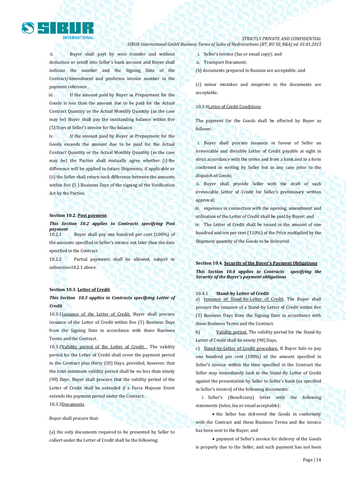

ii. Buyer shall payt by wire transfer and without deduction or setoff into Seller's bank account and Buyer shall indicate the number and the Signing Date of the Contract/Amendment and proforma invoice number in the payment reference .

iii. If the amount paid by Buyer as Prepayment for the Goods is less than the amount due to be paid for the Actual Contract Quantity or the Actual Monthly Quantity (as the case may be) Buyer shall pay the outstanding balance within five (5) Days of Seller's invoice for the balance.

iv. If the amount paid by Buyer as Prepayment for the Goods exceeds the amount due to be paid for the Actual Contract Quantity or the Actual Monthly Quantity (as the case may be) the Parties shall mutually agree whether (i) the difference will be applied to future Shipments, if applicable or (ii) the Seller shall return such difference between the amounts within five (5 ) Business Days of the signing of the Verification Act by the Parties.

#### **Section 10.2. Post payment**

### *This Section 10.2 applies to Contracts specifying Post payment*

10.2.1 Buyer shall pay one hundred per cent (100%) of the amounts specified in Seller's invoice not later than the date specified in the Contract.

10.2.2 Partial payments shall be allowed, subject to subsection10.2.1 above.

#### **Section 10.3. Letter of Credit**

# *This Section 10.3 applies to Contracts specifying Letter of Credit*

10.3.1Issuance of the Letter of Credit. Buyer shall procure issuance of the Letter of Credit within five (5) Business Days from the Signing Date in accordance with these Business Terms and the Contract.

10.3.2Validity period of the Letter of Credit. The validity period for the Letter of Credit shall cover the payment period in the Contract plus thirty (30) Days, provided, however, that the total minimum validity period shall be no less than ninety (90) Days. Buyer shall procure that the validity period of the Letter of Credit shall be extended if a Force Majeure Event extends the payment period under the Contract.

10.3.3Documents

Buyer shall procure that:

(a) the only documents required to be presented by Seller to collect under the Letter of Credit shall be the following:

- i. Seller's invoice (fax or email copy); and
- ii. Transport Document;
- (b) documents prepared in Russian are acceptable; and

(c) minor mistakes and misprints in the documents are acceptable.

### 10,3.4Letter of Credit Conditions

The payment for the Goods shall be effected by Buyer as follows:

i. Buyer shall procure issuance in favour of Seller an irrevocable and divisible Letter of Credit payable at sight in strict accordance with the terms and from a bank and in a form confirmed in writing by Seller but in any case prior to the dispatch of Goods;

ii. Buyer shall provide Seller with the draft of such irrevocable Letter of Credit for Seller's preliminary written approval;

iii. expenses in connection with the opening, amendment and utilisation of the Letter of Credit shall be paid by Buyer; and iv. The Letter of Credit shall be issued in the amount of one hundred and ten per cent (110%) of the Price multiplied by the Shipment quantity of the Goods to be delivered.

#### **Section 10.4. Security of the Buyer's Payment Obligations**

*This Section 10.4 applies to Contracts specifying the Security of the Buyer's payment obligations*

#### 10.4.1 **Stand-by Letter of Credit**

a) Issuance of Stand-by-Letter of Credit. The Buyer shall procure the issuance of a Stand-by Letter of Credit within five (5) Business Days from the Signing Date in accordance with these Business Terms and the Contract.

b) Validity period. The validity period for the Stand-by Letter of Credit shall be ninety (90) Days.

c) Stand-by-Letter of Credit procedure. If Buyer fails to pay one hundred per cent (100%) of the amount specified in Seller's invoice within the time specified in the Contract the Seller may immediately look to the Stand-By Letter of Credit against the presentation by Seller to Seller's bank (as specified in Seller's invoice) of the following documents:

i. Seller's (Beneficiary) letter with the following statements (telex, fax or email acceptable):

• the Seller has delivered the Goods in conformity with the Contract and these Business Terms and the invoice has been sent to the Buyer; and

 payment of Seller's invoice for delivery of the Goods is properly due to the Seller, and such payment has not been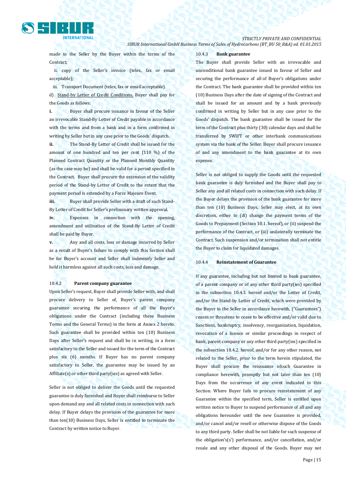

*STRICTLY PRIVATE AND CONFIDENTIAL*

*SIBUR International GmbH Business Terms of Sales of Hydrocarbons (BT\_BU 50\_R&A) ed. 01.01.2015*

made to the Seller by the Buyer within the terms of the Contract;

ii. copy of the Seller's invoice (telex, fax or email acceptable);

iii. Transport Document (telex, fax or email acceptable). d) Stand-by Letter of Credit Conditions. Buyer shall pay for the Goods as follows:

**i.** Buyer shall procure issuance in favour of the Seller an irrevocable Stand-By Letter of Credit payable in accordance with the terms and from a bank and in a form confirmed in writing by Seller but in any case prior to the Goods' dispatch.

**ii.** The Stand-By Letter of Credit shall be issued for the amount of one hundred and ten per cent (110 %) of the Planned Contract Quantity or the Planned Monthly Quantity (as the case may be) and shall be valid for a period specified in the Contract. Buyer shall procure the extension of the validity period of the Stand-by Letter of Credit to the extent that the payment period is extended by a Force Majeure Event.

**iii.** Buyer shall provide Seller with a draft of such Stand-By Letter of Credit for Seller's preliminary written approval.

**iv.** Expenses in connection with the opening, amendment and utilisation of the Stand-By Letter of Credit shall be paid by Buyer.

**v.** Any and all costs, loss or damage incurred by Seller as a result of Buyer's failure to comply with this Section shall be for Buyer's account and Seller shall indemnify Seller and hold it harmless against all such costs, loss and damage.

### 10.4.2 **Parent company guarantee**

Upon Seller's request, Buyer shall provide Seller with, and shall procure delivery to Seller of, Buyer's parent company guarantee securing the performance of all the Buyer's obligations under the Contract (including these Business Terms and the General Terms) in the form at Annex 2 hereto. Such guarantee shall be provided within ten (10) Business Days after Seller's request and shall be in writing, in a form satisfactory to the Seller and issued for the term of the Contract plus six (6) months. If Buyer has no parent company satisfactory to Seller, the guarantee may be issued by an Affiliate(s) or other third party(ies) as agreed with Seller.

Seller is not obliged to deliver the Goods until the requested guarantee is duly furnished and Buyer shall reimburse to Seller upon demand any and all related costs in connection with such delay. If Buyer delays the provision of the guarantee for more than ten(10) Business Days, Seller is entitled to terminate the Contract by written notice to Buyer.

#### 10.4.3 **Bank guarantee**

The Buyer shall provide Seller with an irrevocable and unconditional bank guarantee issued in favour of Seller and securing the performance of all of Buyer's obligations under the Contract. The bank guarantee shall be provided within ten (10) Business Days after the date of signing of the Contract and shall be issued for an amount and by a bank previously confirmed in writing by Seller but in any case prior to the Goods' dispatch. The bank guarantee shall be issued for the term of the Contract plus thirty (30) calendar days and shall be transferred by SWIFT or other interbank communications system via the bank of the Seller. Buyer shall procure issuance of and any amendment to the bank guarantee at its own expense.

Seller is not obliged to supply the Goods until the requested bank guarantee is duly furnished and the Buyer shall pay to Seller any and all related costs in connection with such delay. If the Buyer delays the provision of the bank guarantee for more than ten (10) Business Days, Seller may elect, at its own discretion, either to (di) change the payment terms of the Goods to Prepayment (Section 10.1. hereof), or (ii) suspend the performance of the Contract, or (iii) unilaterally terminate the Contract. Such suspension and/or termination shall not entitle the Buyer to claim for liquidated damages.

#### 10.4.4 **Reinstatement of Guarantee**

If any guarantee, including but not limited to bank guarantee, of a parent company or of any other third party(ies) specified in the subsection 10.4.3. hereof and/or the Letter of Credit, and/or the Stand-by Letter of Credit, which were provided by the Buyer to the Seller in accordance herewith, ("Guarantees") ceases or threatens to cease to be effective and/or valid due to Sanctions, bankruptcy, insolvency, reorganization, liquidation, revocation of a licence or similar proceedings in respect of bank, parent company or any other third party(ies) specified in the subsection 10.4.2. hereof, and/or for any other reason, not related to the Seller, prior to the term herein stipulated, the Buyer shall procure the reissuance ofsuch Guarantee in compliance herewith, promptly but not later than ten (10) Days from the occurrence of any event indicated in this Section. Where Buyer fails to procure reinstatement of any Guarantee within the specified term, Seller is entitled upon written notice to Buyer to suspend performance of all and any obligations hereunder until the new Guarantee is provided, and/or cancel and/or resell or otherwise dispose of the Goods to any third party. Seller shall be not liable for such suspense of the obligation's(s') performance, and/or cancellation, and/or resale and any other disposal of the Goods. Buyer may not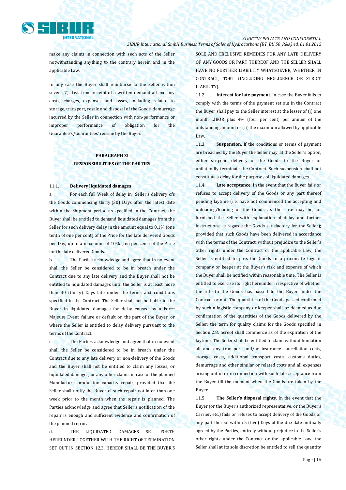

make any claims in connection with such acts of the Seller notwithstanding anything to the contrary herein and in the applicable Law.

In any case the Buyer shall reimburse to the Seller within seven (7) days from receipt of a written demand all and any costs, charges, expenses and losses, including related to storage, transport, resale and disposal of the Goods, demurrage incurred by the Seller in connection with non-performance or improper performance of obligation for the Guarantee's/Guarantees' reissue by the Buyer.

# **PARAGRAPH XI RESPONSIBILITIES OF THE PARTIES**

#### 11.1. **Delivery liquidated damages**

a. For each full Week of delay in Seller's delivery ofs the Goods commencing thirty (30) Days after the latest date within the Shipment period as specified in the Contract, the Buyer shall be entitled to demand liquidated damages from the Seller for such delivery delay in the amount equal to 0.1% (one tenth of one per cent) of the Price for the late delivered Goods per Day, up to a maximum of 10% (ten per cent) of the Price for the late delivered Goods.

b. The Parties acknowledge and agree that in no event shall the Seller be considered to be in breach under the Contract due to any late delivery and the Buyer shall not be entitled to liquidated damages until the Seller is at least more than 30 (thirty) Days late under the terms and conditions specified in the Contract. The Seller shall not be liable to the Buyer in liquidated damages for delay caused by a Force Majeure Event, failure or default on the part of the Buyer, or where the Seller is entitled to delay delivery pursuant to the terms of the Contract.

c. The Parties acknowledge and agree that in no event shall the Seller be considered to be in breach under the Contract due to any late delivery or non-delivery of the Goods and the Buyer shall not be entitled to claim any losses, or liquidated damages, or any other claims in case of the planned Manufacture production capacity repair; provided that the Seller shall notify the Buyer of such repair not later than one week prior to the month when the repair is planned. The Parties acknowledge and agree that Seller's notification of the repair is enough and sufficient evidence and confirmation of the planned repair.

d. THE LIQUIDATED DAMAGES SET FORTH HEREUNDER TOGETHER WITH THE RIGHT OF TERMINATION SET OUT IN SECTION 12.3. HEREOF SHALL BE THE BUYER'S SOLE AND EXCLUSIVE REMEDIES FOR ANY LATE DELIVERY OF ANY GOODS OR PART THEREOF AND THE SELLER SHALL HAVE NO FURTHER LIABILITY WHATSOEVER, WHETHER IN CONTRACT, TORT (INCLUDING NEGLIGENCE OR STRICT LIABILITY).

11.2. **Interest for late payment.** In case the Buyer fails to comply with the terms of the payment set out in the Contract the Buyer shall pay to the Seller interest at the lesser of (i) one month LIBOR plus 4% (four per cent) per annum of the outstanding amount or (ii) the maximum allowed by applicable Law.

11.3. **Suspension.** If the conditions or terms of payment are breached by the Buyer the Seller may, at the Seller's option, either suspend delivery of the Goods to the Buyer or unilaterally terminate the Contract. Such suspension shall not constitute a delay for the purposes of liquidated damages.

11.4. **Late acceptance.** In the event that the Buyer fails or refuses to accept delivery of the Goods or any part thereof pending laytime (i.e. have not commenced the accepting and unloading/loading of the Goods as the case may be; or furnished the Seller with explanation of delay and further instructions as regards the Goods satisfactory for the Seller); provided that such Goods have been delivered in accordance with the terms of the Contract, without prejudice to the Seller's other rights under the Contract or the applicable Law, the Seller is entitled to pass the Goods to a proximate logistic company or keeper at the Buyer's risk and expense of which the Buyer shall be notified within reasonable time. The Seller is entitled to exercise its right hereunder irrespective of whether the title to the Goods has passed to the Buyer under the Contract or not. The quantities of the Goods passed confirmed by such a logistic company or keeper shall be deemed as due confirmation of the quantities of the Goods delivered by the Seller; the term for quality claims for the Goods specified in Section 2.8. hereof shall commence as of the expiration of the laytime. The Seller shall be entitled to claim without limitation all and any transport and/or insurance cancellation costs, storage costs, additional transport costs, customs duties, demurrage and other similar or related costs and all expenses arising out of or in connection with such late acceptance from the Buyer till the moment when the Goods are taken by the Buyer.

11.5. **The Seller's disposal rights.** In the event that the Buyer (or the Buyer's authorized representative, or the Buyer's Carrier, etc.) fails or refuses to accept delivery of the Goods or any part thereof within 5 (five) Days of the due date mutually agreed by the Parties, entirely without prejudice to the Seller's other rights under the Contract or the applicable Law, the Seller shall at its sole discretion be entitled to sell the quantity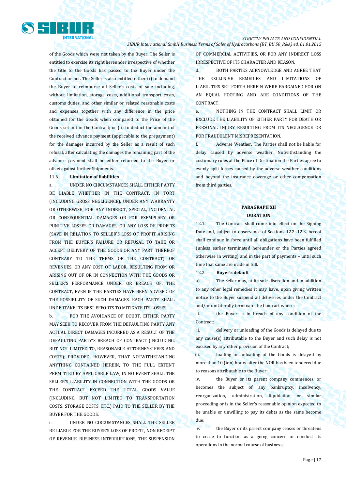

of the Goods which were not taken by the Buyer. The Seller is entitled to exercise its right hereunder irrespective of whether the title to the Goods has passed to the Buyer under the Contract or not. The Seller is also entitled either (i) to demand the Buyer to reimburse all Seller's costs of sale including, without limitation, storage costs, additional transport costs, customs duties, and other similar or related reasonable costs and expenses together with any difference in the price obtained for the Goods when compared to the Price of the Goods set out in the Contract; or (ii) to deduct the amount of the received advance payment (applicable to the prepayment) for the damages incurred by the Seller as a result of such refusal; after calculating the damages the remaining part of the advance payment shall be either returned to the Buyer or offset against further Shipments.

### 11.6. **Limitation of liabilities**

a. UNDER NO CIRCUMSTANCES SHALL EITHER PARTY BE LIABLE WHETHER IN THE CONTRACT, IN TORT (INCLUDING GROSS NEGLIGENCE), UNDER ANY WARRANTY OR OTHERWISE, FOR ANY INDIRECT, SPECIAL, INCIDENTAL OR CONSEQUENTIAL DAMAGES OR FOR EXEMPLARY OR PUNITIVE LOSSES OR DAMAGES, OR ANY LOSS OF PROFITS (SAVE IN RELATION TO SELLER'S LOSS OF PROFIT ARISING FROM THE BUYER'S FAILURE OR REFUSAL TO TAKE OR ACCEPT DELIVERY OF THE GOODS OR ANY PART THEREOF CONTRARY TO THE TERMS OF THE CONTRACT) OR REVENUES, OR ANY COST OF LABOR, RESULTING FROM OR ARISING OUT OF OR IN CONNECTION WITH THE GOODS OR SELLER'S PERFORMANCE UNDER, OR BREACH OF, THE CONTRACT, EVEN IF THE PARTIES HAVE BEEN ADVISED OF THE POSSIBILITY OF SUCH DAMAGES. EACH PARTY SHALL UNDERTAKE ITS BEST EFFORTS TO MITIGATE ITS LOSSES.

b. FOR THE AVOIDANCE OF DOUBT, EITHER PARTY MAY SEEK TO RECOVER FROM THE DEFAULTING PARTY ANY ACTUAL DIRECT DAMAGES INCURRED AS A RESULT OF THE DEFAULTING PARTY'S BREACH OF CONTRACT (INCLUDING, BUT NOT LIMITED TO, REASONABLE ATTORNEYS' FEES AND COSTS); PROVIDED, HOWEVER, THAT NOTWITHSTANDING ANYTHING CONTAINED HEREIN, TO THE FULL EXTENT PERMITTED BY APPLICABLE LAW, IN NO EVENT SHALL THE SELLER'S LIABILITY IN CONNECTION WITH THE GOODS OR THE CONTRACT EXCEED THE TOTAL GOODS VALUE (INCLUDING, BUT NOT LIMITED TO TRANSPORTATION COSTS, STORAGE COSTS, ETC.) PAID TO THE SELLER BY THE BUYER FOR THE GOODS.

c. UNDER NO CIRCUMSTANCES SHALL THE SELLER BE LIABLE FOR THE BUYER'S LOSS OF PROFIT, NON RECEIPT OF REVENUE, BUSINESS INTERRUPTIONS, THE SUSPENSION

OF COMMERCIAL ACTIVITIES, OR FOR ANY INDIRECT LOSS IRRESPECTIVE OF ITS CHARACTER AND REASON.

d. BOTH PARTIES ACKNOWLEDGE AND AGREE THAT THE EXCLUSIVE REMEDIES AND LIMITATIONS OF LIABILITIES SET FORTH HEREIN WERE BARGAINED FOR ON AN EQUAL FOOTING AND ARE CONDITIONS OF THE **CONTRACT** 

e. NOTHING IN THE CONTRACT SHALL LIMIT OR EXCLUDE THE LIABILITY OF EITHER PARTY FOR DEATH OR PERSONAL INJURY RESULTING FROM ITS NEGLIGENCE OR FOR FRAUDULENT MISREPRESENTATION.

f. Adverse Weather. The Parties shall not be liable for delay caused by adverse weather. Notwithstanding the customary rules at the Place of Destination the Parties agree to evenly split losses caused by the adverse weather conditions and beyond the insurance coverage or other compensation from third parties.

## **PARAGRAPH XII DURATION**

12.1. The Contract shall come into effect on the Signing Date and, subject to observance of Sections 12.2-.12.3. hereof shall continue in force until all obligations have been fulfilled (unless earlier terminated hereunder or the Parties agreed otherwise in writing) and in the part of payments – until such time that same are made in full.

12.2. **Buyer's default** 

a) The Seller may, at its sole discretion and in addition to any other legal remedies it may have, upon giving written notice to the Buyer suspend all deliveries under the Contract and/or unilaterally terminate the Contract where:

i. the Buyer is in breach of any condition of the Contract;

ii. delivery or unloading of the Goods is delayed due to any cause(s) attributable to the Buyer and such delay is not excused by any other provision of the Contract;

iii. loading or unloading of the Goods is delayed by more than 10 (ten) hours after the NOR has been tendered due to reasons attributable to the Buyer;

iv. the Buyer or its parent company commences, or becomes the subject of, any bankruptcy, insolvency, reorganization, administration, liquidation or similar proceeding or is in the Seller's reasonable opinion expected to be unable or unwilling to pay its debts as the same become due;

v. the Buyer or its parent company ceases or threatens to cease to function as a going concern or conduct its operations in the normal course of business;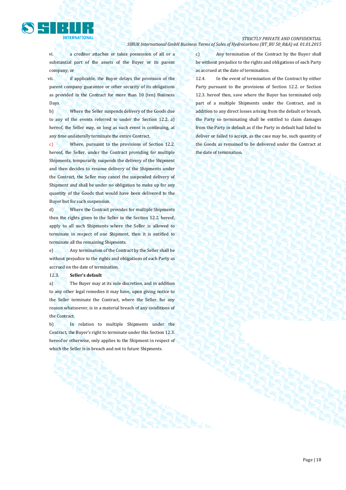

vi. a creditor attaches or takes possession of all or a substantial part of the assets of the Buyer or its parent company; or

vii. if applicable, the Buyer delays the provision of the parent company guarantee or other security of its obligations as provided in the Contract for more than 10 (ten) Business Days.

b) Where the Seller suspends delivery of the Goods due to any of the events referred to under the Section 12.2. a) hereof, the Seller may, so long as such event is continuing, at any time unilaterally terminate the entire Contract.

c) Where, pursuant to the provisions of Section 12.2. hereof, the Seller, under the Contract providing for multiple Shipments, temporarily suspends the delivery of the Shipment and then decides to resume delivery of the Shipments under the Contract, the Seller may cancel the suspended delivery of Shipment and shall be under no obligation to make up for any quantity of the Goods that would have been delivered to the Buyer but for such suspension.

d) Where the Contract provides for multiple Shipments then the rights given to the Seller in the Section 12.2. hereof, apply to all such Shipments where the Seller is allowed to terminate in respect of one Shipment, then it is entitled to terminate all the remaining Shipments.

e) Any termination of the Contract by the Seller shall be without prejudice to the rights and obligations of each Party as accrued on the date of termination.

12.3. **Seller's default**

a) The Buyer may at its sole discretion, and in addition to any other legal remedies it may have, upon giving notice to the Seller terminate the Contract, where the Seller, for any reason whatsoever, is in a material breach of any conditions of the Contract.

b) In relation to multiple Shipments under the Contract, the Buyer's right to terminate under this Section 12.3. hereof or otherwise, only applies to the Shipment in respect of which the Seller is in breach and not to future Shipments.

c) Any termination of the Contract by the Buyer shall be without prejudice to the rights and obligations of each Party as accrued at the date of termination.

12.4. In the event of termination of the Contract by either Party pursuant to the provisions of Section 12.2. or Section 12.3. hereof then, save where the Buyer has terminated only part of a multiple Shipments under the Contract, and in addition to any direct losses arising from the default or breach, the Party so terminating shall be entitled to claim damages from the Party in default as if the Party in default had failed to deliver or failed to accept, as the case may be, such quantity of the Goods as remained to be delivered under the Contract at the date of termination.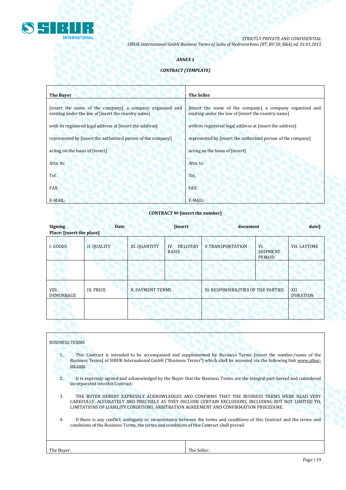

# *ANNEX 1*

# *CONTRACT (TEMPLATE)*

| <b>The Buyer</b>                                                                                                 | <b>The Seller</b>                                                                                                |
|------------------------------------------------------------------------------------------------------------------|------------------------------------------------------------------------------------------------------------------|
| [insert the name of the company], a company organized and<br>existing under the law of [insert the country name] | [insert the name of the company], a company organized and<br>existing under the law of [insert the country name] |
| with its registered legal address at [insert the address]                                                        | with its registered legal address at [insert the address]                                                        |
| represented by [insert the authorized person of the company]                                                     | represented by [insert the authorized person of the company]                                                     |
| acting on the basis of [insert]                                                                                  | acting on the basis of [insert]                                                                                  |
| Attn. to:                                                                                                        | Attn. to:                                                                                                        |
| Tel.                                                                                                             | Tel.                                                                                                             |
| FAX:                                                                                                             | FAX:                                                                                                             |
| E-MAIL:                                                                                                          | $E-MAIL:$                                                                                                        |

# **CONTRACT № [insert the number]**

| <b>Signing</b><br>Place: [insert the place] | <b>Date</b>        |                      | [insert                                | document                            |                                         | date]:                  |
|---------------------------------------------|--------------------|----------------------|----------------------------------------|-------------------------------------|-----------------------------------------|-------------------------|
| I. GOODS                                    | <b>II. QUALITY</b> | <b>III. QUANTITY</b> | <b>DELIVERY</b><br>IV.<br><b>BASIS</b> | <b>V.TRANSPORTATION</b>             | VI.<br><b>SHIPMENT</b><br><b>PERIOD</b> | <b>VII. LAYTIME</b>     |
|                                             |                    |                      |                                        |                                     |                                         |                         |
| VIII.<br>DEMURRAGE                          | IX. PRICE          | X. PAYMENT TERMS     |                                        | XI. RESPONSIBILITIES OF THE PARTIES |                                         | XII.<br><b>DURATION</b> |
|                                             |                    |                      |                                        |                                     |                                         |                         |
|                                             |                    |                      |                                        |                                     |                                         |                         |

| <b>BUSINESS TERMS</b> |                                                                                                                                                                                                                                                                                                |                                                                                                                                                                                                                                           |  |  |  |
|-----------------------|------------------------------------------------------------------------------------------------------------------------------------------------------------------------------------------------------------------------------------------------------------------------------------------------|-------------------------------------------------------------------------------------------------------------------------------------------------------------------------------------------------------------------------------------------|--|--|--|
| 1.                    | int.com.                                                                                                                                                                                                                                                                                       | This Contract is intended to be accompanied and supplemented by Business Terms [insert the number/name of the<br>Business Terms] of SIBUR International GmbH ("Business Terms") which shall be accessed via the following link www.sibur- |  |  |  |
| $\overline{2}$ .      | It is expressly agreed and acknowledged by the Buyer that the Business Terms are the integral part hereof and considered<br>incorporated into this Contract.                                                                                                                                   |                                                                                                                                                                                                                                           |  |  |  |
| 3.                    | THE BUYER HEREBY EXPRESSLY ACKNOWLEDGES AND CONFIRMS THAT THE BUSINESS TERMS WERE READ VERY<br>CAREFULLY, ACCURATELY AND PRECISELY AS THEY INCLUDE CERTAIN EXCLUSIONS, INCLUDING BUT NOT LIMITED TO,<br>LIMITATIONS OF LIABILITY CONDITIONS, ARBITRATION AGREEMENT AND CONFIRMATION PROCEDURE. |                                                                                                                                                                                                                                           |  |  |  |
| 4.                    | conditions of the Business Terms, the terms and conditions of this Contract shall prevail.                                                                                                                                                                                                     | If there is any conflict, ambiguity or inconsistency between the terms and conditions of this Contract and the terms and                                                                                                                  |  |  |  |
| The Buyer:            |                                                                                                                                                                                                                                                                                                | The Seller:                                                                                                                                                                                                                               |  |  |  |
|                       |                                                                                                                                                                                                                                                                                                |                                                                                                                                                                                                                                           |  |  |  |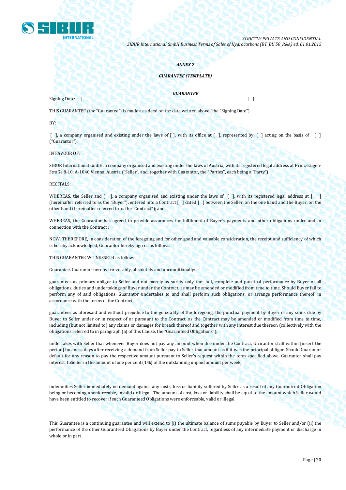

### *ANNEX 2*

### *GUARANTEE (TEMPLATE)*

Signing Date: [ ] [ ]

*GUARANTEE*

THIS GUARANTEE (the "Guarantee") is made as a deed on the date written above (the "Signing Date")

BY:

 $\lceil$ , a company organised and existing under the laws of  $\lceil$ , with its office at  $\lceil$ , represented by,  $\lceil$ , acting on the basis of  $\lceil$ ("Guarantor"),

IN FAVOUR OF:

SIBUR International GmbH, a company organised and existing under the laws of Austria, with its registered legal address at Prinz-Eugen-Straße 8-10, A-1040 Vienna, Austria ("Seller", and, together with Guarantor, the "Parties", each being a "Party").

RECITALS:

WHEREAS, the Seller and  $\lceil \cdot \rceil$ , a company organised and existing under the laws of  $\lceil \cdot \rceil$ , with its registered legal address at  $\lceil \cdot \rceil$ (hereinafter referred to as the "Buyer"), entered into a Contract [ ] dated [ ] between the Seller, on the one hand and the Buyer, on the other hand (hereinafter referred to as the "Contract"); and

WHEREAS, the Guarantor has agreed to provide assurances for fulfilment of Buyer's payments and other obligations under and in connection with the Contract ;

NOW, THEREFORE, in consideration of the foregoing and for other good and valuable consideration, the receipt and sufficiency of which is hereby acknowledged, Guarantor hereby agrees as follows:

THIS GUARANTEE WITNESSETH as follows:

Guarantee. Guarantor hereby irrevocably, absolutely and unconditionally:

guarantees as primary obligor to Seller and not merely as surety only the full, complete and punctual performance by Buyer of all obligations, duties and undertakings of Buyer under the Contract, as may be amended or modified from time to time. Should Buyer fail to perform any of said obligations, Guarantor undertakes to and shall perform such obligations, or arrange performance thereof, in accordance with the terms of the Contract;

guarantees as aforesaid and without prejudice to the generality of the foregoing, the punctual payment by Buyer of any sums due by Buyer to Seller under or in respect of or pursuant to the Contract, as the Contract may be amended or modified from time to time, including (but not limited to) any claims or damages for breach thereof and together with any interest due thereon (collectively with the obligations referred to in paragraph (a) of this Clause, the "Guaranteed Obligations");

undertakes with Seller that whenever Buyer does not pay any amount when due under the Contract, Guarantor shall within [insert the period] business days after receiving a demand from Seller pay to Seller that amount as if it was the principal obligor. Should Guarantor default for any reason to pay the respective amount pursuant to Seller's request within the term specified above, Guarantor shall pay interest toSeller in the amount of one per cent (1%) of the outstanding unpaid amount per week;

indemnifies Seller immediately on demand against any costs, loss or liability suffered by Seller as a result of any Guaranteed Obligation being or becoming unenforceable, invalid or illegal. The amount of cost, loss or liability shall be equal to the amount which Seller would have been entitled to recover if such Guaranteed Obligations were enforceable, valid or illegal.

This Guarantee is a continuing guarantee and will extend to (i) the ultimate balance of sums payable by Buyer to Seller and/or (ii) the performance of the other Guaranteed Obligations by Buyer under the Contract, regardless of any intermediate payment or discharge in whole or in part.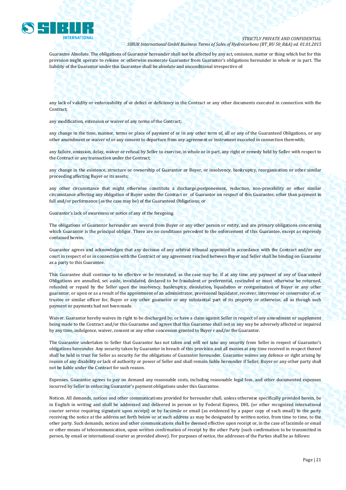

Guarantee Absolute. The obligations of Guarantor hereunder shall not be affected by any act, omission, matter or thing which but for this provision might operate to release or otherwise exonerate Guarantor from Guarantor's obligations hereunder in whole or in part. The liability of the Guarantor under this Guarantee shall be absolute and unconditional irrespective of:

### any lack of validity or enforceability of or defect or deficiency in the Contract or any other documents executed in connection with the Contract;

any modification, extension or waiver of any terms of the Contract;

any change in the time, manner, terms or place of payment of or in any other term of, all or any of the Guaranteed Obligations, or any other amendment or waiver of or any consent to departure from any agreement or instrument executed in connection therewith;

any failure, omission, delay, waiver or refusal by Seller to exercise, in whole or in part, any right or remedy held by Seller with respect to the Contract or any transaction under the Contract;

any change in the existence, structure or ownership of Guarantor or Buyer, or insolvency, bankruptcy, reorganisation or other similar proceeding affecting Buyer or its assets;

any other circumstance that might otherwise constitute a discharge,postponement, reduction, non-provability or other similar circumstance affecting any obligation of Buyer under the Contract or of Guarantor on respect of this Guarantee, other than payment in full and/or performance (as the case may be) of the Guaranteed Obligations; or

Guarantor's lack of awareness or notice of any of the foregoing.

The obligations of Guarantor hereunder are several from Buyer or any other person or entity, and are primary obligations concerning which Guarantor is the principal obligor. There are no conditions precedent to the enforcement of this Guarantee, except as expressly contained herein.

Guarantor agrees and acknowledges that any decision of any arbitral tribunal appointed in accordance with the Contract and/or any court in respect of or in connection with the Contract or any agreement reached between Buyer and Seller shall be binding on Guarantor as a party to this Guarantee.

This Guarantee shall continue to be effective or be reinstated, as the case may be, if at any time any payment of any of Guaranteed Obligations are annulled, set aside, invalidated, declared to be fraudulent or preferential, rescinded or must otherwise be returned, refunded or repaid by the Seller upon the insolvency, bankruptcy, dissolution, liquidation or reorganization of Buyer or any other guarantor, or upon or as a result of the appointment of an administrator, provisional liquidator, receiver, intervener or conservator of, or trustee or similar officer for, Buyer or any other guarantor or any substantial part of its property or otherwise, all as though such payment or payments had not been made.

Waiver. Guarantor hereby waives its right to be discharged by, or have a claim against Seller in respect of any amendment or supplement being made to the Contract and/or this Guarantee and agrees that this Guarantee shall not in any way be adversely affected or impaired by any time, indulgence, waiver, consent or any other concession granted to Buyer r and/or the Guarantor.

The Guarantor undertakes to Seller that Guarantor has not taken and will not take any security from Seller in respect of Guarantor's obligations hereunder. Any security taken by Guarantor in breach of this provision and all monies at any time received in respect thereof shall be held in trust for Seller as security for the obligations of Guarantor hereunder. Guarantor waives any defence or right arising by reason of any disability or lack of authority or power of Seller and shall remain liable hereunder if Seller, Buyer or any other party shall not be liable under the Contract for such reason.

Expenses. Guarantor agrees to pay on demand any reasonable costs, including reasonable legal fees, and other documented expenses incurred by Seller in enforcing Guarantor's payment obligations under this Guarantee.

Notices. All demands, notices and other communications provided for hereunder shall, unless otherwise specifically provided herein, be in English in writing and shall be addressed and delivered in person or by Federal Express, DHL (or other recognized international courier service requiring signature upon receipt) or by facsimile or email (as evidenced by a paper copy of such email) to the party receiving the notice at the address set forth below or at such address as may be designated by written notice, from time to time, to the other party. Such demands, notices and other communications shall be deemed effective upon receipt or, in the case of facsimile or email or other means of telecommunication, upon written confirmation of receipt by the other Party (such confirmation to be transmitted in person, by email or international courier as provided above). For purposes of notice, the addresses of the Parties shall be as follows: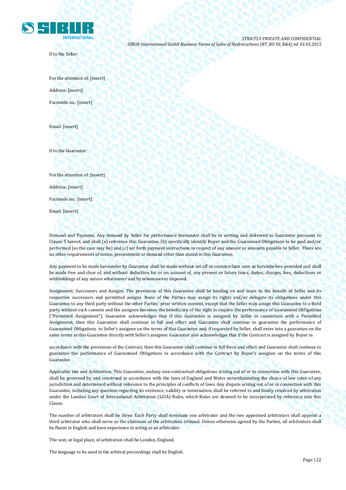

If to the Seller:

*STRICTLY PRIVATE AND CONFIDENTIAL SIBUR International GmbH Business Terms of Sales of Hydrocarbons (BT\_BU 50\_R&A) ed. 01.01.2015*

For the attention of: [insert] Address: [insert] Facsimile no.: [insert]

Email: [insert]

If to the Guarantor:

For the attention of: [insert]

Address: [insert]

Facsimile no.: [insert]

Email: [insert]

Demand and Payment. Any demand by Seller for performance hereunder shall be in writing and delivered to Guarantor pursuant to Clause 5 hereof, and shall (a) reference this Guarantee, (b) specifically identify Buyer and the Guaranteed Obligations to be paid and/or performed (as the case may be) and (c) set forth payment instructions in respect of any amount or amounts payable to Seller. There are no other requirements of notice, presentment or demand other than stated in this Guarantee.

Any payment to be made hereunder by Guarantor shall be made without set off or counterclaim save as hereinbefore provided and shall be made free and clear of, and without deduction for or on account of, any present or future taxes, duties, charges, fees, deductions or withholdings of any nature whatsoever and by whomsoever imposed.

Assignment; Successors and Assigns. The provisions of this Guarantee shall be binding on and inure to the benefit of Seller and its respective successors and permitted assigns. None of the Parties may assign its rights and/or delegate its obligations under this Guarantee to any third party without the other Parties' prior written consent, except that the Seller may assign this Guarantee to a third party without such consent and the assignee becomes the beneficiary of the right to require the performance of Guaranteed Obligations ("Permitted Assignment"). Guarantor acknowledges that if this Guarantee is assigned by Seller in connection with a Permitted Assignment, then this Guarantee shall continue in full and effect and Guarantor shall continue to guarantee the performance of Guaranteed Obligations to Seller's assignee on the terms of this Guarantee and, if requested by Seller, shall enter into a guarantee on the same terms as this Guarantee directly with Seller's assignee. Guarantor also acknowledges that if the Contract is assigned by Buyer in

accordance with the provisions of the Contract, then this Guarantee shall continue in full force and effect and Guarantor shall continue to guarantee the performance of Guaranteed Obligations in accordance with the Contract by Buyer's assignee on the terms of this Guarantee.

Applicable law and Arbitration. This Guarantee, andany non-contractual obligations arising out of or in connection with this Guarantee, shall be governed by and construed in accordance with the laws of England and Wales notwithstanding the choice of law rules of any jurisdiction and determined without reference to the principles of conflicts of laws. Any dispute arising out of or in connection with this Guarantee, including any question regarding its existence, validity or termination, shall be referred to and finally resolved by arbitration under the London Court of International Arbitration (LCIA) Rules, which Rules are deemed to be incorporated by reference into this Clause.

The number of arbitrators shall be three. Each Party shall nominate one arbitrator and the two appointed arbitrators shall appoint a third arbitrator who shall serve as the chairman of the arbitration tribunal. Unless otherwise agreed by the Parties, all arbitrators shall be fluent in English and have experience in acting as an arbitrator.

The seat, or legal place, of arbitration shall be London, England.

The language to be used in the arbitral proceedings shall be English.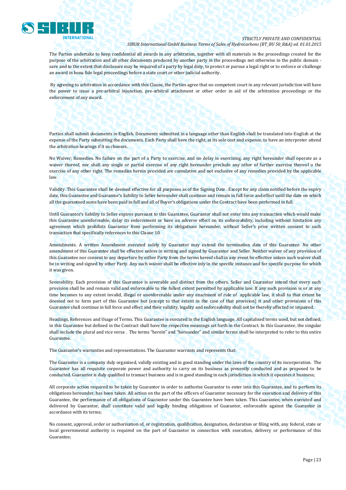

The Parties undertake to keep confidential all awards in any arbitration, together with all materials in the proceedings created for the purpose of the arbitration and all other documents produced by another party in the proceedings not otherwise in the public domain save and to the extent that disclosure may be required of a party by legal duty, to protect or pursue a legal right or to enforce or challenge an award in bona fide legal proceedings before a state court or other judicial authority.

By agreeing to arbitration in accordance with this Clause, the Parties agree that no competent court in any relevant jurisdiction will have the power to issue a pre-arbitral injunction, pre-arbitral attachment or other order in aid of the arbitration proceedings or the enforcement of any award.

Parties shall submit documents in English. Documents submitted in a language other than English shall be translated into English at the expense of the Party submitting the documents. Each Party shall have the right, at its sole cost and expense, to have an interpreter attend the arbitration hearings if it so chooses.

No Waiver; Remedies. No failure on the part of a Party to exercise, and no delay in exercising, any right hereunder shall operate as a waiver thereof, nor shall any single or partial exercise of any right hereunder preclude any other of further exercise thereof o the exercise of any other right. The remedies herein provided are cumulative and not exclusive of any remedies provided by the applicable law.

Validity. This Guarantee shall be deemed effective for all purposes as of the Signing Date . Except for any claim notified before the expiry date, this Guarantee and Guarantor's liability to Seller hereunder shall continue and remain in full force and effect until the date on which all the guaranteed sums have been paid in full and all of Buyer's obligations under the Contract have been performed in full.

Until Guarantor's liability to Seller expires pursuant to this Guarantee, Guarantor shall not enter into any transaction which would make this Guarantee unenforceable, delay its enforcement or have an adverse effect on its enforceability, including without limitation any agreement which prohibits Guarantor from performing its obligations hereunder, without Seller's prior written consent to such transaction that specifically references to this Clause 10.

Amendments. A written Amendment executed solely by Guarantor may extend the termination date of this Guarantee. No other amendment of this Guarantee shall be effective unless in writing and signed by Guarantor and Seller. Neither waiver of any provision of this Guarantee nor consent to any departure by either Party from the terms hereof shall in any event be effective unless such waiver shall be in writing and signed by other Party. Any such waiver shall be effective inly in the specific instance and for specific purpose for which it was given.

Severability. Each provision of this Guarantee is severable and distinct from the others. Seller and Guarantor intend that every such provision shall be and remain valid and enforceable to the fullest extent permitted by applicable law. If any such provision is or at any time becomes to any extent invalid, illegal or unenforceable under any enactment of rule of applicable law, it shall to that extent be deemed not to form part of this Guarantee but (except to that extent in the case of that provision) it and other provisions of this Guarantee shall continue in full force and effect and their validity, legality and enforceability shall not be thereby affected or impaired.

Headings, References and Usage of Terms. This Guarantee is executed in the English language. All capitalised terms used, but not defined, in this Guarantee but defined in the Contract shall have the respective meanings set forth in the Contract. In this Guarantee, the singular shall include the plural and vice versa . The terms "herein" and "hereunder" and similar terms shall be interpreted to refer to this entire Guarantee.

The Guarantor's warranties and representations. The Guarantor warrants and represents that:

The Guarantor is a company duly organised, validly existing and in good standing under the laws of the country of its incorporation. The Guarantor has all requisite corporate power and authority to carry on its business as presently conducted and as proposed to be conducted. Guarantor is duly qualified to transact business and is in good standing in each jurisdiction in which it operates it business;

All corporate action required to be taken by Guarantor in order to authorise Guarantor to enter into this Guarantee, and to perform its obligations hereunder, has been taken. All action on the part of the officers of Guarantor necessary for the execution and delivery of this Guarantee, the performance of all obligations of Guarantor under this Guarantee have been taken. This Guarantee, when executed and delivered by Guarantor, shall constitute valid and legally binding obligations of Guarantor, enforceable against the Guarantor in accordance with its terms;

No consent, approval, order or authorisation of, or registration, qualification, designation, declaration or filing with, any federal, state or local governmental authority is required on the part of Guarantor in connection with execution, delivery or performance of this Guarantee;